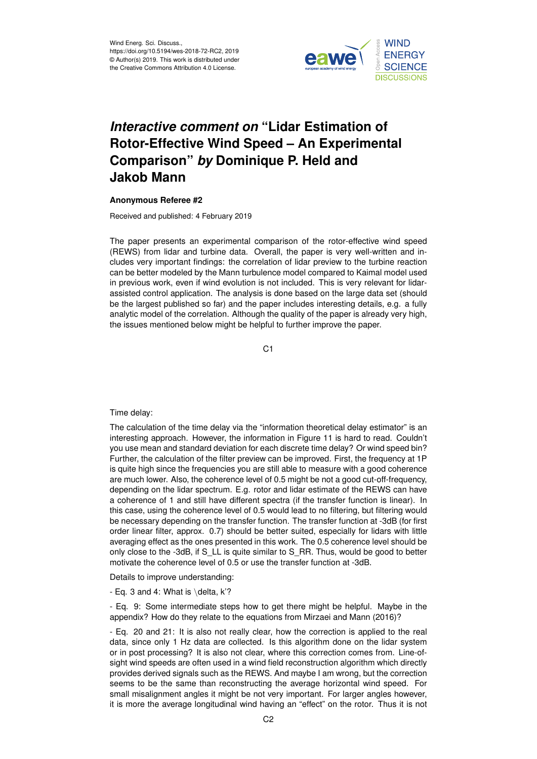

## *Interactive comment on* **"Lidar Estimation of Rotor-Effective Wind Speed – An Experimental Comparison"** *by* **Dominique P. Held and Jakob Mann**

## **Anonymous Referee #2**

Received and published: 4 February 2019

The paper presents an experimental comparison of the rotor-effective wind speed (REWS) from lidar and turbine data. Overall, the paper is very well-written and includes very important findings: the correlation of lidar preview to the turbine reaction can be better modeled by the Mann turbulence model compared to Kaimal model used in previous work, even if wind evolution is not included. This is very relevant for lidarassisted control application. The analysis is done based on the large data set (should be the largest published so far) and the paper includes interesting details, e.g. a fully analytic model of the correlation. Although the quality of the paper is already very high, the issues mentioned below might be helpful to further improve the paper.

C<sub>1</sub>

Time delay:

The calculation of the time delay via the "information theoretical delay estimator" is an interesting approach. However, the information in Figure 11 is hard to read. Couldn't you use mean and standard deviation for each discrete time delay? Or wind speed bin? Further, the calculation of the filter preview can be improved. First, the frequency at 1P is quite high since the frequencies you are still able to measure with a good coherence are much lower. Also, the coherence level of 0.5 might be not a good cut-off-frequency, depending on the lidar spectrum. E.g. rotor and lidar estimate of the REWS can have a coherence of 1 and still have different spectra (if the transfer function is linear). In this case, using the coherence level of 0.5 would lead to no filtering, but filtering would be necessary depending on the transfer function. The transfer function at -3dB (for first order linear filter, approx. 0.7) should be better suited, especially for lidars with little averaging effect as the ones presented in this work. The 0.5 coherence level should be only close to the -3dB, if S\_LL is quite similar to S\_RR. Thus, would be good to better motivate the coherence level of 0.5 or use the transfer function at -3dB.

Details to improve understanding:

- Eq. 3 and 4: What is  $\delta$ . K'?

- Eq. 9: Some intermediate steps how to get there might be helpful. Maybe in the appendix? How do they relate to the equations from Mirzaei and Mann (2016)?

- Eq. 20 and 21: It is also not really clear, how the correction is applied to the real data, since only 1 Hz data are collected. Is this algorithm done on the lidar system or in post processing? It is also not clear, where this correction comes from. Line-ofsight wind speeds are often used in a wind field reconstruction algorithm which directly provides derived signals such as the REWS. And maybe I am wrong, but the correction seems to be the same than reconstructing the average horizontal wind speed. For small misalignment angles it might be not very important. For larger angles however, it is more the average longitudinal wind having an "effect" on the rotor. Thus it is not